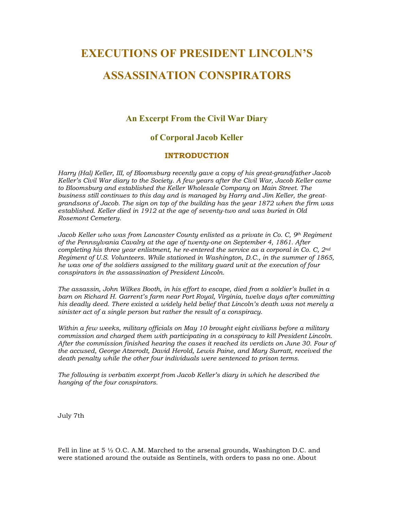## **EXECUTIONS OF PRESIDENT LINCOLN'S ASSASSINATION CONSPIRATORS**

## **An Excerpt From the Civil War Diary**

## **of Corporal Jacob Keller**

## **INTRODUCTION**

*Harry (Hal) Keller, III, of Bloomsburg recently gave a copy of his great-grandfather Jacob Keller's Civil War diary to the Society. A few years after the Civil War, Jacob Keller came to Bloomsburg and established the Keller Wholesale Company on Main Street. The business still continues to this day and is managed by Harry and Jim Keller, the greatgrandsons of Jacob. The sign on top of the building has the year 1872 when the firm was established. Keller died in 1912 at the age of seventy-two and was buried in Old Rosemont Cemetery.* 

*Jacob Keller who was from Lancaster County enlisted as a private in Co. C, 9th Regiment of the Pennsylvania Cavalry at the age of twenty-one on September 4, 1861. After completing his three year enlistment, he re-entered the service as a corporal in Co. C, 2nd Regiment of U.S. Volunteers. While stationed in Washington, D.C., in the summer of 1865, he was one of the soldiers assigned to the military guard unit at the execution of four conspirators in the assassination of President Lincoln.* 

*The assassin, John Wilkes Booth, in his effort to escape, died from a soldier's bullet in a barn on Richard H. Garrent's farm near Port Royal, Virginia, twelve days after committing his deadly deed. There existed a widely held belief that Lincoln's death was not merely a sinister act of a single person but rather the result of a conspiracy.* 

*Within a few weeks, military officials on May 10 brought eight civilians before a military commission and charged them with participating in a conspiracy to kill President Lincoln. After the commission finished hearing the cases it reached its verdicts on June 30. Four of the accused, George Atzerodt, David Herold, Lewis Paine, and Mary Surratt, received the death penalty while the other four individuals were sentenced to prison terms.* 

*The following is verbatim excerpt from Jacob Keller's diary in which he described the hanging of the four conspirators.* 

July 7th

Fell in line at  $5 \frac{1}{2}$  O.C. A.M. Marched to the arsenal grounds, Washington D.C. and were stationed around the outside as Sentinels, with orders to pass no one. About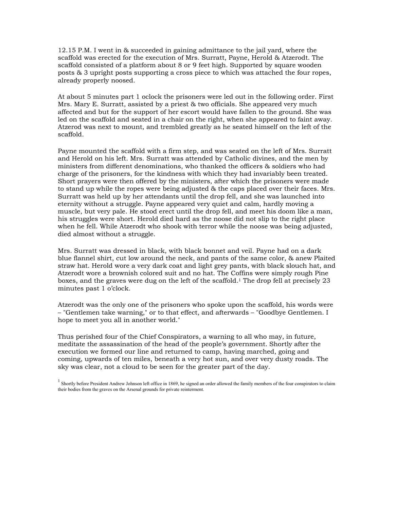12.15 P.M. I went in & succeeded in gaining admittance to the jail yard, where the scaffold was erected for the execution of Mrs. Surratt, Payne, Herold & Atzerodt. The scaffold consisted of a platform about 8 or 9 feet high. Supported by square wooden posts & 3 upright posts supporting a cross piece to which was attached the four ropes, already properly noosed.

At about 5 minutes part 1 oclock the prisoners were led out in the following order. First Mrs. Mary E. Surratt, assisted by a priest & two officials. She appeared very much affected and but for the support of her escort would have fallen to the ground. She was led on the scaffold and seated in a chair on the right, when she appeared to faint away. Atzerod was next to mount, and trembled greatly as he seated himself on the left of the scaffold.

Payne mounted the scaffold with a firm step, and was seated on the left of Mrs. Surratt and Herold on his left. Mrs. Surratt was attended by Catholic divines, and the men by ministers from different denominations, who thanked the officers & soldiers who had charge of the prisoners, for the kindness with which they had invariably been treated. Short prayers were then offered by the ministers, after which the prisoners were made to stand up while the ropes were being adjusted & the caps placed over their faces. Mrs. Surratt was held up by her attendants until the drop fell, and she was launched into eternity without a struggle. Payne appeared very quiet and calm, hardly moving a muscle, but very pale. He stood erect until the drop fell, and meet his doom like a man, his struggles were short. Herold died hard as the noose did not slip to the right place when he fell. While Atzerodt who shook with terror while the noose was being adjusted, died almost without a struggle.

Mrs. Surratt was dressed in black, with black bonnet and veil. Payne had on a dark blue flannel shirt, cut low around the neck, and pants of the same color, & anew Plaited straw hat. Herold wore a very dark coat and light grey pants, with black slouch hat, and Atzerodt wore a brownish colored suit and no hat. The Coffins were simply rough Pine boxes, and the graves were dug on the left of the scaffold.<sup>1</sup> The drop fell at precisely 23 minutes past 1 o'clock.

Atzerodt was the only one of the prisoners who spoke upon the scaffold, his words were – "Gentlemen take warning," or to that effect, and afterwards – "Goodbye Gentlemen. I hope to meet you all in another world."

Thus perished four of the Chief Conspirators, a warning to all who may, in future, meditate the assassination of the head of the people's government. Shortly after the execution we formed our line and returned to camp, having marched, going and coming, upwards of ten miles, beneath a very hot sun, and over very dusty roads. The sky was clear, not a cloud to be seen for the greater part of the day.

 $<sup>1</sup>$  Shortly before President Andrew Johnson left office in 1869, he signed an order allowed the family members of the four conspirators to claim</sup> their bodies from the graves on the Arsenal grounds for private reinterment.